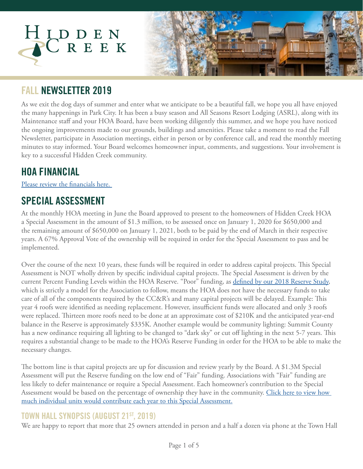

### **FALL NEWSLETTER 2019**

As we exit the dog days of summer and enter what we anticipate to be a beautiful fall, we hope you all have enjoyed the many happenings in Park City. It has been a busy season and All Seasons Resort Lodging (ASRL), along with its Maintenance staff and your HOA Board, have been working diligently this summer, and we hope you have noticed the ongoing improvements made to our grounds, buildings and amenities. Please take a moment to read the Fall Newsletter, participate in Association meetings, either in person or by conference call, and read the monthly meeting minutes to stay informed. Your Board welcomes homeowner input, comments, and suggestions. Your involvement is key to a successful Hidden Creek community.

## **HOA FINANCIAL**

[Please review the financials here.](https://www.allseasonsresortlodging.com/wp-content/uploads/2019/08/2019.07.31-HID-Monthly-F.S-Gina-Report.pdf) 

## **SPECIAL ASSESSMENT**

At the monthly HOA meeting in June the Board approved to present to the homeowners of Hidden Creek HOA a Special Assessment in the amount of \$1.3 million, to be assessed once on January 1, 2020 for \$650,000 and the remaining amount of \$650,000 on January 1, 2021, both to be paid by the end of March in their respective years. A 67% Approval Vote of the ownership will be required in order for the Special Assessment to pass and be implemented.

Over the course of the next 10 years, these funds will be required in order to address capital projects. This Special Assessment is NOT wholly driven by specific individual capital projects. The Special Assessment is driven by the current Percent Funding Levels within the HOA Reserve. "Poor" funding, as [defined by our 2018 Reserve Study](https://www.allseasonsresortlodging.com/wp-content/uploads/2019/02/Hidden-Creek-HOA-R2.pdf), which is strictly a model for the Association to follow, means the HOA does not have the necessary funds to take care of all of the components required by the CC&R's and many capital projects will be delayed. Example: This year 4 roofs were identified as needing replacement. However, insufficient funds were allocated and only 3 roofs were replaced. Thirteen more roofs need to be done at an approximate cost of \$210K and the anticipated year-end balance in the Reserve is approximately \$335K. Another example would be community lighting: Summit County has a new ordinance requiring all lighting to be changed to "dark sky" or cut off lighting in the next 5-7 years. This requires a substantial change to be made to the HOA's Reserve Funding in order for the HOA to be able to make the necessary changes.

The bottom line is that capital projects are up for discussion and review yearly by the Board. A \$1.3M Special Assessment will put the Reserve funding on the low end of "Fair" funding. Associations with "Fair" funding are less likely to defer maintenance or require a Special Assessment. Each homeowner's contribution to the Special Assessment would be based on the percentage of ownership they have in the community. Click here to view how [much individual units would contribute each year to this Special Assessment.](https://www.allseasonsresortlodging.com/wp-content/uploads/2019/08/HC-Percent.pdf)

#### **TOWN HALL SYNOPSIS (AUGUST 21ST, 2019)**

We are happy to report that more that 25 owners attended in person and a half a dozen via phone at the Town Hall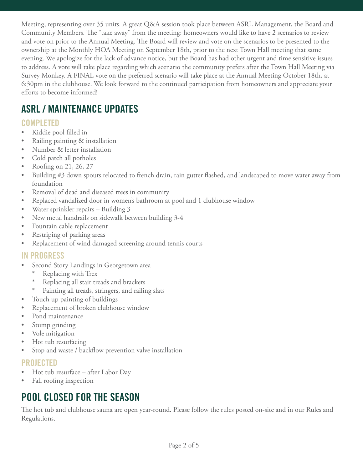Meeting, representing over 35 units. A great Q&A session took place between ASRL Management, the Board and Community Members. The "take away" from the meeting: homeowners would like to have 2 scenarios to review and vote on prior to the Annual Meeting. The Board will review and vote on the scenarios to be presented to the ownership at the Monthly HOA Meeting on September 18th, prior to the next Town Hall meeting that same evening. We apologize for the lack of advance notice, but the Board has had other urgent and time sensitive issues to address. A vote will take place regarding which scenario the community prefers after the Town Hall Meeting via Survey Monkey. A FINAL vote on the preferred scenario will take place at the Annual Meeting October 18th, at 6:30pm in the clubhouse. We look forward to the continued participation from homeowners and appreciate your efforts to become informed!

# **ASRL / MAINTENANCE UPDATES**

### **COMPLETED**

- Kiddie pool filled in
- Railing painting & installation
- Number & letter installation
- Cold patch all potholes
- Roofing on 21, 26, 27
- Building #3 down spouts relocated to french drain, rain gutter flashed, and landscaped to move water away from foundation
- Removal of dead and diseased trees in community
- Replaced vandalized door in women's bathroom at pool and 1 clubhouse window
- Water sprinkler repairs Building 3
- New metal handrails on sidewalk between building 3-4
- Fountain cable replacement
- Restriping of parking areas
- Replacement of wind damaged screening around tennis courts

#### **IN PROGRESS**

- Second Story Landings in Georgetown area
	- \* Replacing with Trex
	- Replacing all stair treads and brackets
	- Painting all treads, stringers, and railing slats
- Touch up painting of buildings
- Replacement of broken clubhouse window
- Pond maintenance
- Stump grinding
- Vole mitigation
- Hot tub resurfacing
- Stop and waste / backflow prevention valve installation

#### **PROJECTED**

- Hot tub resurface after Labor Day
- Fall roofing inspection

# **POOL CLOSED FOR THE SEASON**

The hot tub and clubhouse sauna are open year-round. Please follow the rules posted on-site and in our Rules and Regulations.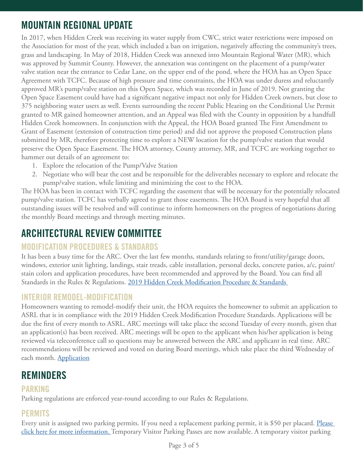# **MOUNTAIN REGIONAL UPDATE**

In 2017, when Hidden Creek was receiving its water supply from CWC, strict water restrictions were imposed on the Association for most of the year, which included a ban on irrigation, negatively affecting the community's trees, grass and landscaping. In May of 2018, Hidden Creek was annexed into Mountain Regional Water (MR), which was approved by Summit County. However, the annexation was contingent on the placement of a pump/water valve station near the entrance to Cedar Lane, on the upper end of the pond, where the HOA has an Open Space Agreement with TCFC. Because of high pressure and time constraints, the HOA was under duress and reluctantly approved MR's pump/valve station on this Open Space, which was recorded in June of 2019. Not granting the Open Space Easement could have had a significant negative impact not only for Hidden Creek owners, but close to 375 neighboring water users as well. Events surrounding the recent Public Hearing on the Conditional Use Permit granted to MR gained homeowner attention, and an Appeal was filed with the County in opposition by a handfull Hidden Creek homeowners. In conjunction with the Appeal, the HOA Board granted The First Amendment to Grant of Easement (extension of construction time period) and did not approve the proposed Construction plans submitted by MR, therefore protecting time to explore a NEW location for the pump/valve station that would preserve the Open Space Easement. The HOA attorney, County attorney, MR, and TCFC are working together to hammer out details of an agreement to:

- 1. Explore the relocation of the Pump/Valve Station
- 2. Negotiate who will bear the cost and be responsible for the deliverables necessary to explore and relocate the pump/valve station, while limiting and minimizing the cost to the HOA.

The HOA has been in contact with TCFC regarding the easement that will be necessary for the potentially relocated pump/valve station. TCFC has verbally agreed to grant those easements. The HOA Board is very hopeful that all outstanding issues will be resolved and will continue to inform homeowners on the progress of negotiations during the monthly Board meetings and through meeting minutes.

### **ARCHITECTURAL REVIEW COMMITTEE**

#### **MODIFICATION PROCEDURES & STANDARDS**

It has been a busy time for the ARC. Over the last few months, standards relating to front/utility/garage doors, windows, exterior unit lighting, landings, stair treads, cable installation, personal decks, concrete patios, a/c, paint/ stain colors and application procedures, have been recommended and approved by the Board. You can find all Standards in the Rules & Regulations. [2019 Hidden Creek Modification Procedure & Standards](https://www.allseasonsresortlodging.com/wp-content/uploads/2019/08/2019-H.C-Modification-Procedure-Standards-1.pdf) 

#### **INTERIOR REMODEL-MODIFICATION**

Homeowners wanting to remodel-modify their unit, the HOA requires the homeowner to submit an application to ASRL that is in compliance with the 2019 Hidden Creek Modification Procedure Standards. Applications will be due the first of every month to ASRL. ARC meetings will take place the second Tuesday of every month, given that an application(s) has been received. ARC meetings will be open to the applicant when his/her application is being reviewed via teleconference call so questions may be answered between the ARC and applicant in real time. ARC recommendations will be reviewed and voted on during Board meetings, which take place the third Wednesday of each month. [Application](https://www.allseasonsresortlodging.com/wp-content/uploads/2019/07/Remodel-Modification-Application-6.19.2019.pdf)

### **REMINDERS**

#### **PARKING**

Parking regulations are enforced year-round according to our Rules & Regulations.

### **PERMITS**

Every unit is assigned two parking permits. If you need a replacement parking permit, it is \$50 per placard. Please [click here for more information.](https://www.allseasonsresortlodging.com/wp-content/uploads/2019/08/Parking-Pass-Distribution-Processes-and-Policies-2019.pdf) Temporary Visitor Parking Passes are now available. A temporary visitor parking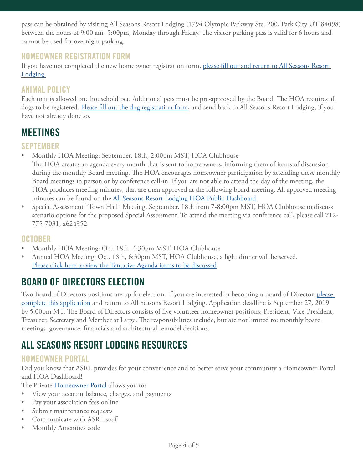pass can be obtained by visiting All Seasons Resort Lodging (1794 Olympic Parkway Ste. 200, Park City UT 84098) between the hours of 9:00 am- 5:00pm, Monday through Friday. The visitor parking pass is valid for 6 hours and cannot be used for overnight parking.

#### **HOMEOWNER REGISTRATION FORM**

If you have not completed the new homeowner registration form, [please fill out and return to All Seasons Resort](https://www.allseasonsresortlodging.com/wp-content/uploads/2019/09/2019-Hidden-Creek-Homeowner-Registration-Form.pdf)  [Lodging.](https://www.allseasonsresortlodging.com/wp-content/uploads/2019/09/2019-Hidden-Creek-Homeowner-Registration-Form.pdf)

### **ANIMAL POLICY**

Each unit is allowed one household pet. Additional pets must be pre-approved by the Board. The HOA requires all dogs to be registered. [Please fill out the dog registration form](https://www.allseasonsresortlodging.com/wp-content/uploads/2019/02/Hidden-Creek-Dog-Registration-9.20.2018.pdf), and send back to All Seasons Resort Lodging, if you have not already done so.

### **MEETINGS**

#### **SEPTEMBER**

• Monthly HOA Meeting: September, 18th, 2:00pm MST, HOA Clubhouse

The HOA creates an agenda every month that is sent to homeowners, informing them of items of discussion during the monthly Board meeting. The HOA encourages homeowner participation by attending these monthly Board meetings in person or by conference call-in. If you are not able to attend the day of the meeting, the HOA produces meeting minutes, that are then approved at the following board meeting. All approved meeting minutes can be found on the [All Seasons Resort Lodging HOA Public Dashboard](https://www.allseasonsresortlodging.com/hoa/hidden-creek/).

• Special Assessment "Town Hall" Meeting, September, 18th from 7-8:00pm MST, HOA Clubhouse to discuss scenario options for the proposed Special Assessment. To attend the meeting via conference call, please call 712- 775-7031, x624352

#### **OCTOBER**

- Monthly HOA Meeting: Oct. 18th, 4:30pm MST, HOA Clubhouse
- Annual HOA Meeting: Oct. 18th, 6:30pm MST, HOA Clubhouse, a light dinner will be served. [Please click here to view the Tentative Agenda items to be discussed](https://www.allseasonsresortlodging.com/wp-content/uploads/2019/08/HC-2019-annual-meeting-agenda.docx)

## **BOARD OF DIRECTORS ELECTION**

Two Board of Directors positions are up for election. If you are interested in becoming a Board of Director, please [complete this application](https://www.allseasonsresortlodging.com/wp-content/uploads/2019/08/HIDEEN-CREEK-Board-Application-2019.docx) and return to All Seasons Resort Lodging. Application deadline is September 27, 2019 by 5:00pm MT. The Board of Directors consists of five volunteer homeowner positions: President, Vice-President, Treasurer, Secretary and Member at Large. The responsibilities include, but are not limited to: monthly board meetings, governance, financials and architectural remodel decisions.

# **ALL SEASONS RESORT LODGING RESOURCES**

### **HOMEOWNER PORTAL**

Did you know that ASRL provides for your convenience and to better serve your community a Homeowner Portal and HOA Dashboard!

The Private [Homeowner Portal](https://allseasonsresortlodging.managebuilding.com/Resident/portal/login) allows you to:

- View your account balance, charges, and payments
- Pay your association fees online
- Submit maintenance requests
- Communicate with ASRL staff
- Monthly Amenities code